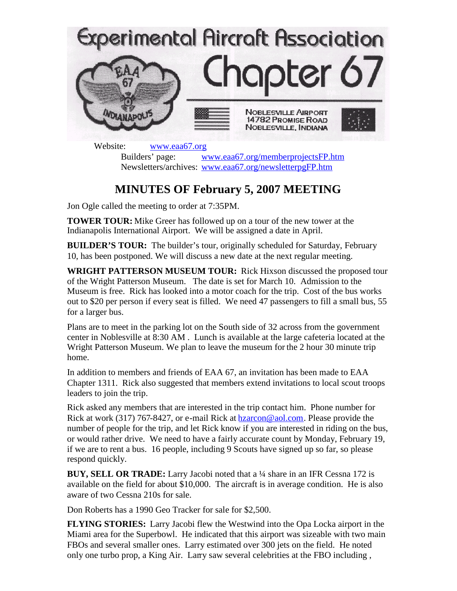

Website: [www.eaa67.org](http://www.eaa67.org/) Builders' page: [www.eaa67.org/memberprojectsFP.htm](http://www.eaa67.org/memberprojectsFP.htm) Newsletters/archives: [www.eaa67.org/newsletterpgFP.htm](http://www.eaa67.org/newsletterpgFP.htm)

## **MINUTES OF February 5, 2007 MEETING**

Jon Ogle called the meeting to order at 7:35PM.

**TOWER TOUR:** Mike Greer has followed up on a tour of the new tower at the Indianapolis International Airport. We will be assigned a date in April.

**BUILDER'S TOUR:** The builder's tour, originally scheduled for Saturday, February 10, has been postponed. We will discuss a new date at the next regular meeting.

**WRIGHT PATTERSON MUSEUM TOUR:** Rick Hixson discussed the proposed tour of the Wright Patterson Museum. The date is set for March 10. Admission to the Museum is free. Rick has looked into a motor coach for the trip. Cost of the bus works out to \$20 per person if every seat is filled. We need 47 passengers to fill a small bus, 55 for a larger bus.

Plans are to meet in the parking lot on the South side of 32 across from the government center in Noblesville at 8:30 AM . Lunch is available at the large cafeteria located at the Wright Patterson Museum. We plan to leave the museum for the 2 hour 30 minute trip home.

In addition to members and friends of EAA 67, an invitation has been made to EAA Chapter 1311. Rick also suggested that members extend invitations to local scout troops leaders to join the trip.

Rick asked any members that are interested in the trip contact him. Phone number for Rick at work (317) 767-8427, or e-mail Rick at **hzarcon@aol.com**. Please provide the number of people for the trip, and let Rick know if you are interested in riding on the bus, or would rather drive. We need to have a fairly accurate count by Monday, February 19, if we are to rent a bus. 16 people, including 9 Scouts have signed up so far, so please respond quickly.

**BUY, SELL OR TRADE:** Larry Jacobi noted that a ¼ share in an IFR Cessna 172 is available on the field for about \$10,000. The aircraft is in average condition. He is also aware of two Cessna 210s for sale.

Don Roberts has a 1990 Geo Tracker for sale for \$2,500.

**FLYING STORIES:** Larry Jacobi flew the Westwind into the Opa Locka airport in the Miami area for the Superbowl. He indicated that this airport was sizeable with two main FBOs and several smaller ones. Larry estimated over 300 jets on the field. He noted only one turbo prop, a King Air. Larry saw several celebrities at the FBO including ,